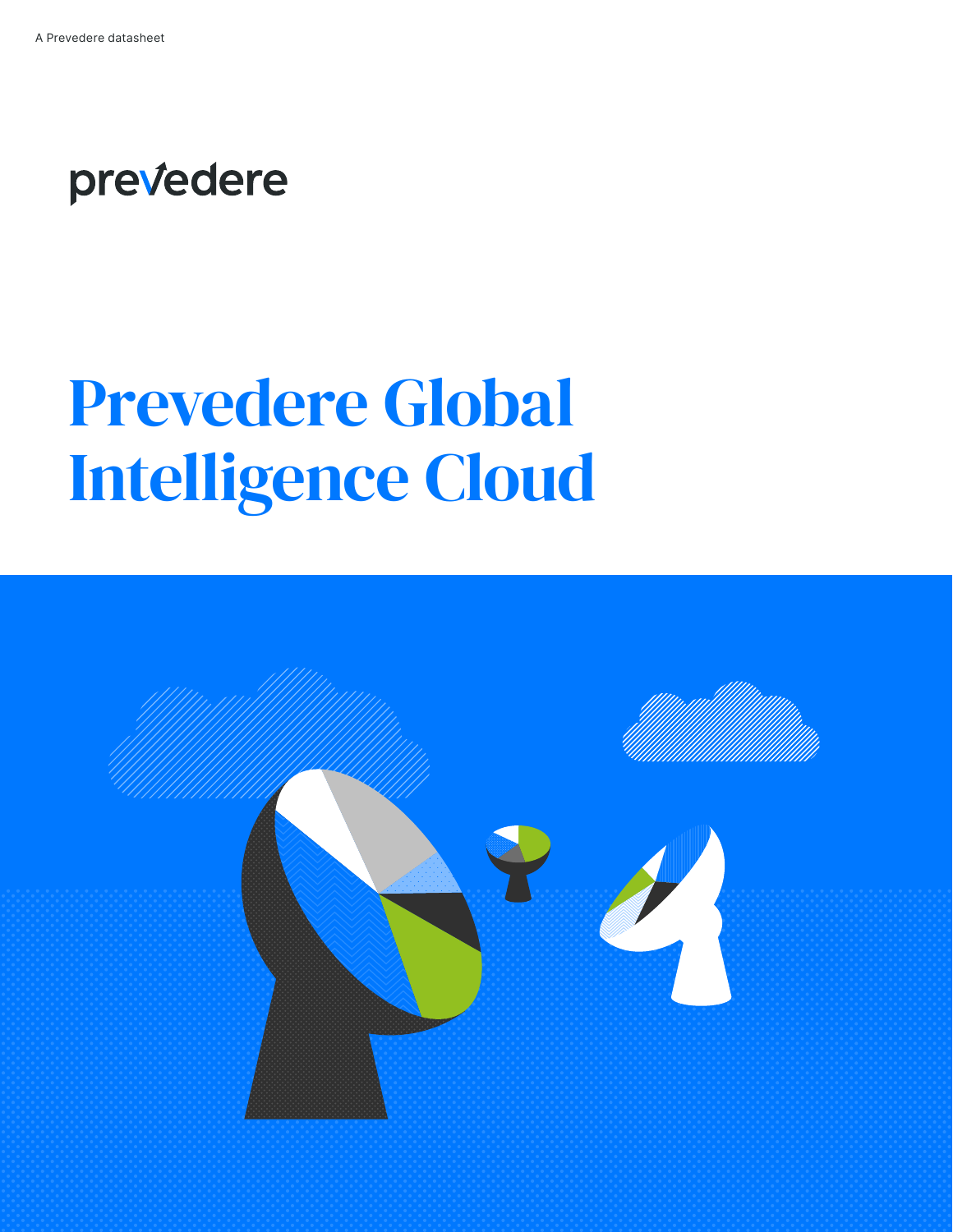### prevedere

## Prevedere Global Intelligence Cloud

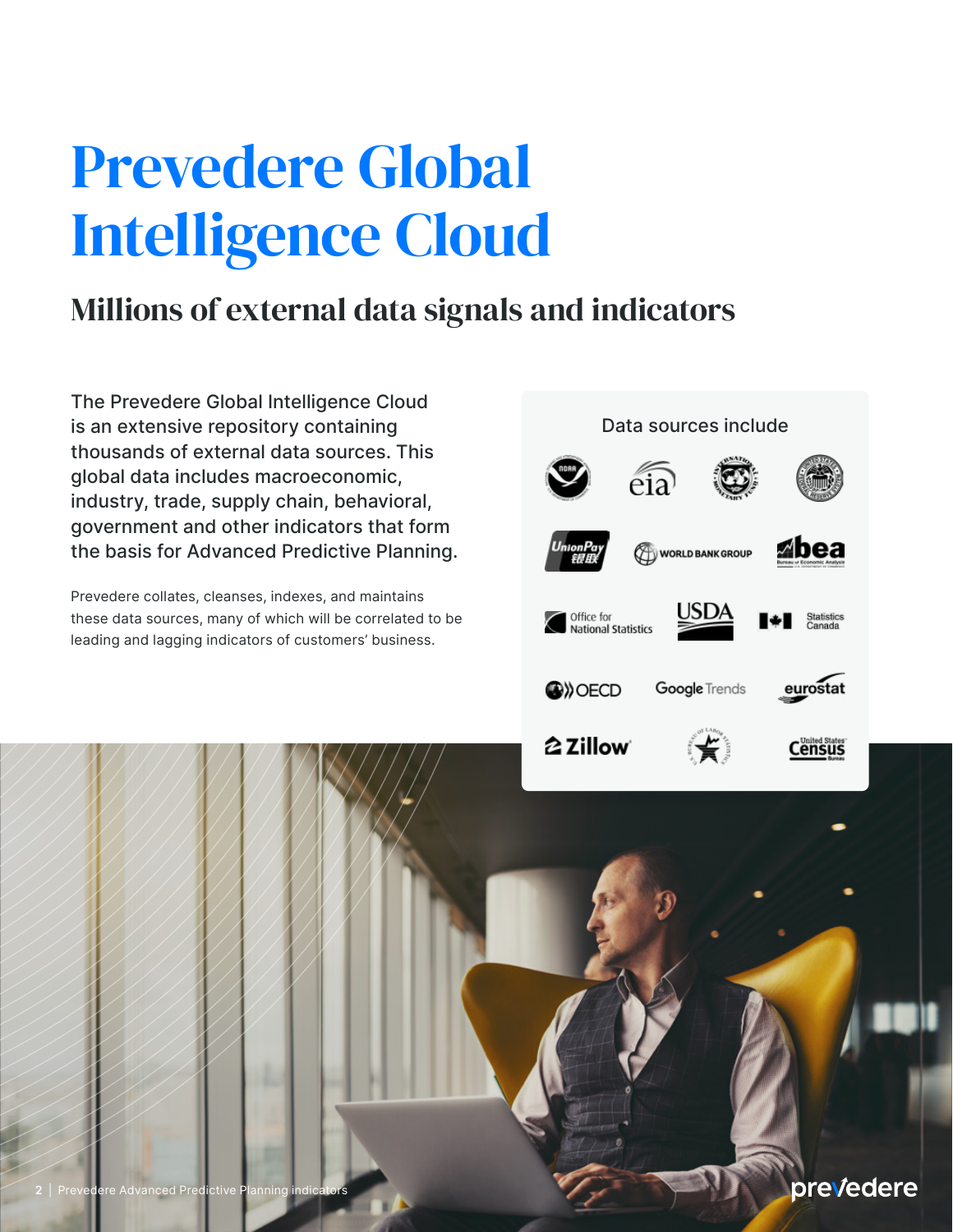## Prevedere Global Intelligence Cloud

### Millions of external data signals and indicators

The Prevedere Global Intelligence Cloud is an extensive repository containing thousands of external data sources. This global data includes macroeconomic, industry, trade, supply chain, behavioral, government and other indicators that form the basis for Advanced Predictive Planning.

Prevedere collates, cleanses, indexes, and maintains these data sources, many of which will be correlated to be leading and lagging indicators of customers' business.



prevedere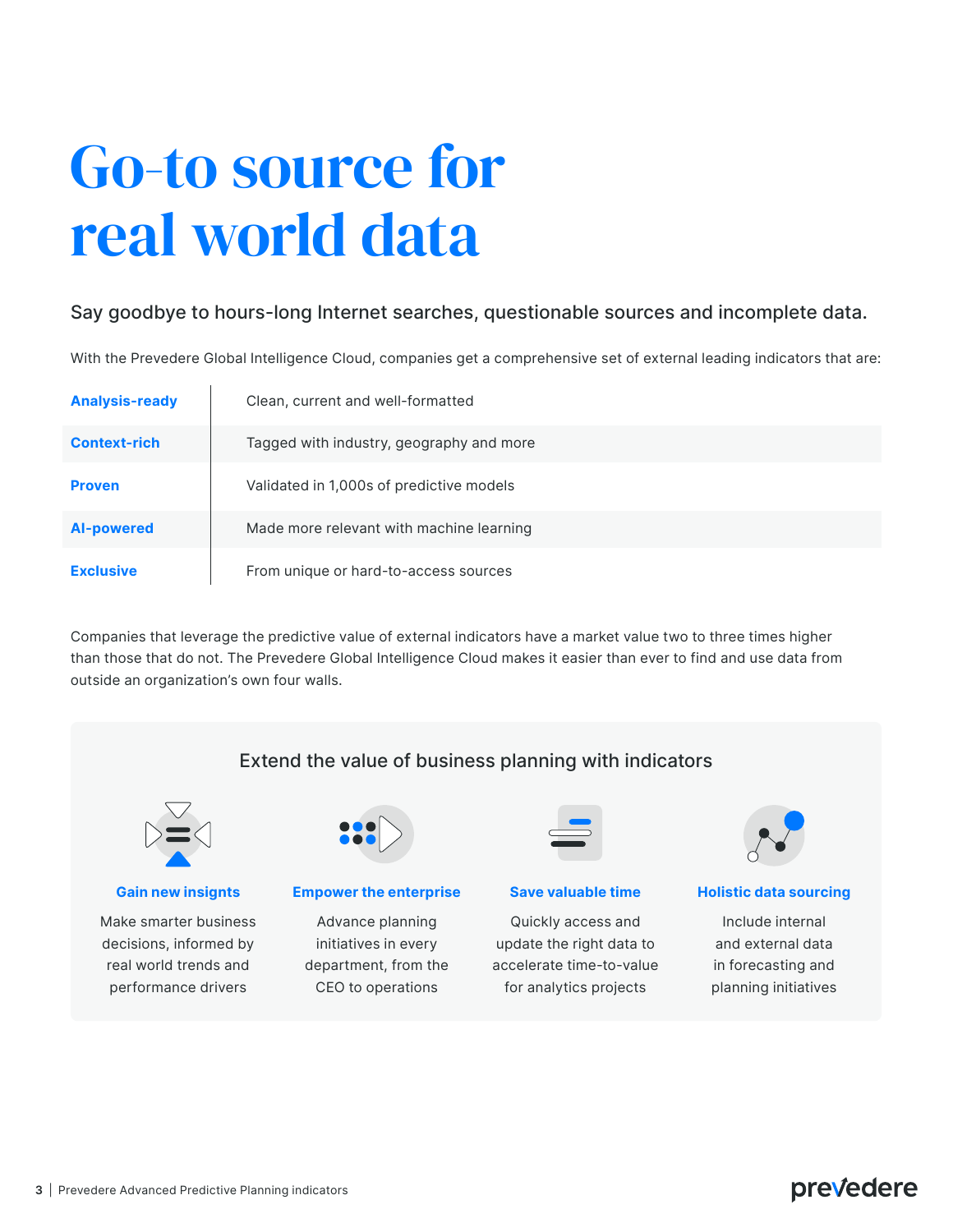### Go-to source for real world data

#### Say goodbye to hours-long Internet searches, questionable sources and incomplete data.

With the Prevedere Global Intelligence Cloud, companies get a comprehensive set of external leading indicators that are:

| <b>Analysis-ready</b> | Clean, current and well-formatted        |
|-----------------------|------------------------------------------|
| <b>Context-rich</b>   | Tagged with industry, geography and more |
| <b>Proven</b>         | Validated in 1,000s of predictive models |
| <b>Al-powered</b>     | Made more relevant with machine learning |
| <b>Exclusive</b>      | From unique or hard-to-access sources    |

Companies that leverage the predictive value of external indicators have a market value two to three times higher than those that do not. The Prevedere Global Intelligence Cloud makes it easier than ever to find and use data from outside an organization's own four walls.



#### prevedere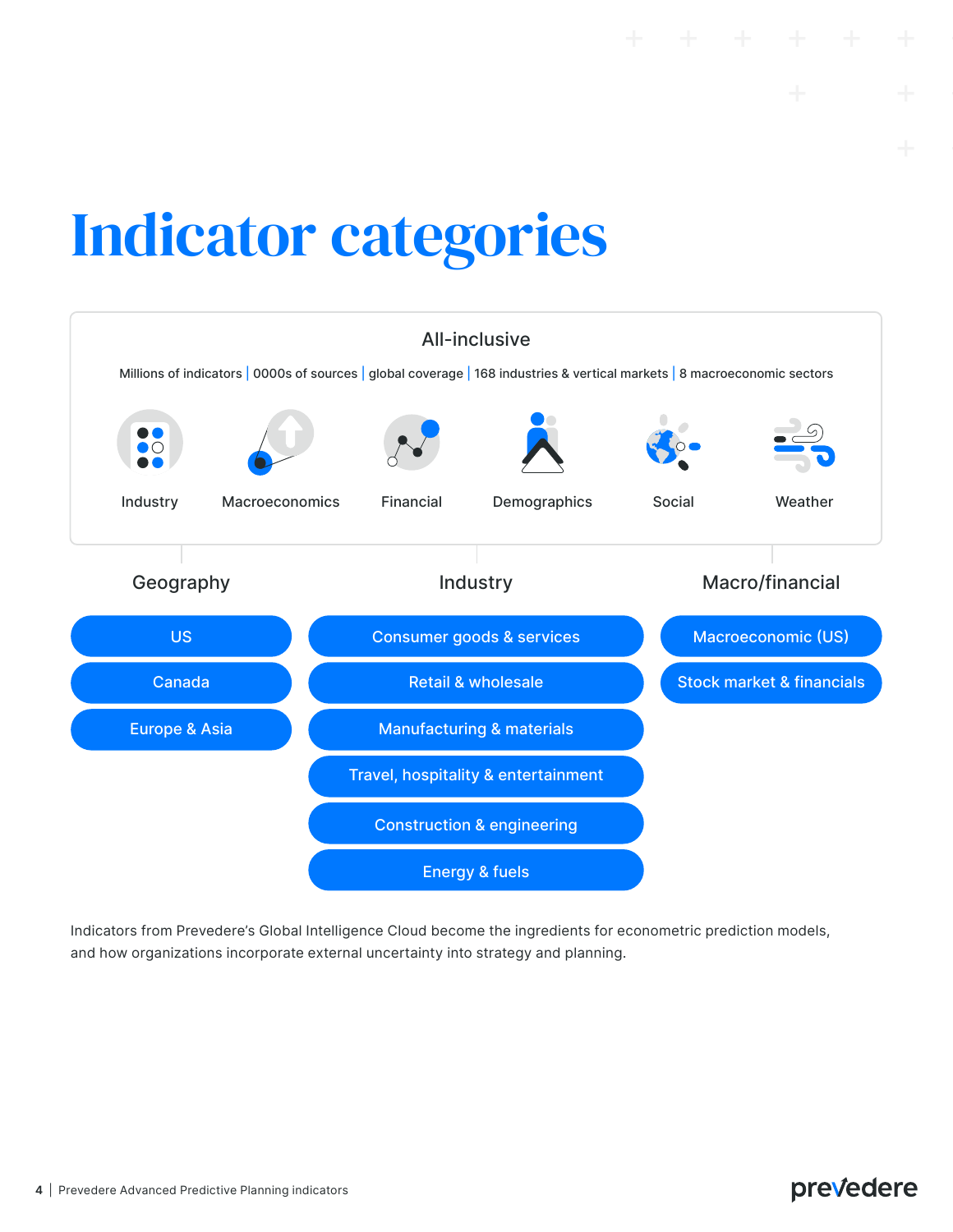## Indicator categories



Indicators from Prevedere's Global Intelligence Cloud become the ingredients for econometric prediction models, and how organizations incorporate external uncertainty into strategy and planning.

#### prevedere